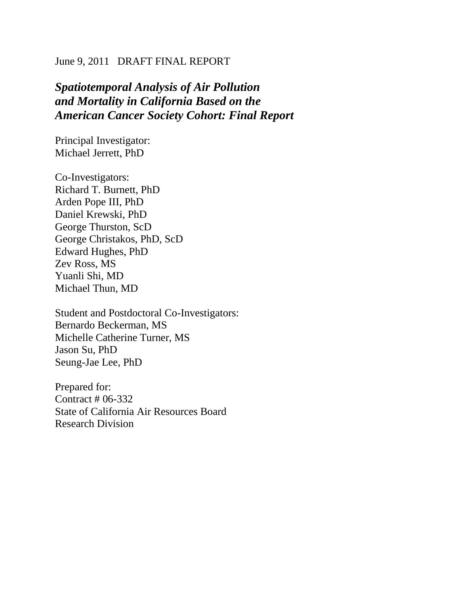# June 9, 2011 DRAFT FINAL REPORT

# *Spatiotemporal Analysis of Air Pollution and Mortality in California Based on the American Cancer Society Cohort: Final Report*

Principal Investigator: Michael Jerrett, PhD

Co-Investigators: Richard T. Burnett, PhD Arden Pope III, PhD Daniel Krewski, PhD George Thurston, ScD George Christakos, PhD, ScD Edward Hughes, PhD Zev Ross, MS Yuanli Shi, MD Michael Thun, MD

Student and Postdoctoral Co-Investigators: Bernardo Beckerman, MS Michelle Catherine Turner, MS Jason Su, PhD Seung-Jae Lee, PhD

Prepared for: Contract # 06-332 State of California Air Resources Board Research Division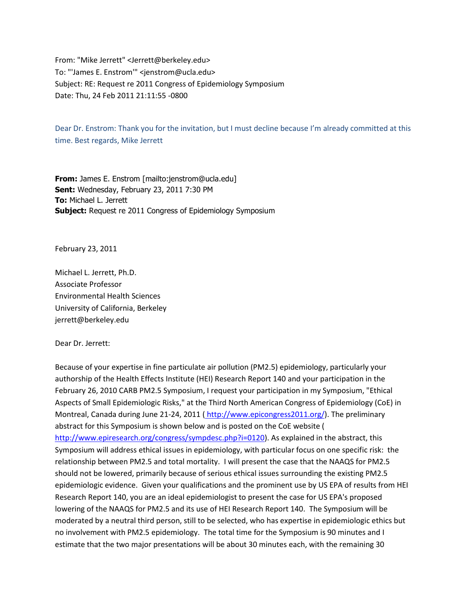From: "Mike Jerrett" <Jerrett@berkeley.edu> To: "'James E. Enstrom'" <jenstrom@ucla.edu> Subject: RE: Request re 2011 Congress of Epidemiology Symposium Date: Thu, 24 Feb 2011 21:11:55 -0800

Dear Dr. Enstrom: Thank you for the invitation, but I must decline because I'm already committed at this time. Best regards, Mike Jerrett

**From:** James E. Enstrom [mailto:jenstrom@ucla.edu] **Sent:** Wednesday, February 23, 2011 7:30 PM **To:** Michael L. Jerrett **Subject:** Request re 2011 Congress of Epidemiology Symposium

February 23, 2011

Michael L. Jerrett, Ph.D. Associate Professor Environmental Health Sciences University of California, Berkeley jerrett@berkeley.edu

Dear Dr. Jerrett:

Because of your expertise in fine particulate air pollution (PM2.5) epidemiology, particularly your authorship of the Health Effects Institute (HEI) Research Report 140 and your participation in the February 26, 2010 CARB PM2.5 Symposium, I request your participation in my Symposium, "Ethical Aspects of Small Epidemiologic Risks," at the Third North American Congress of Epidemiology (CoE) in Montreal, Canada during June 21-24, 2011 ([http://www.epicongress2011.org/\)](http://www.epicongress2011.org/). The preliminary abstract for this Symposium is shown below and is posted on the CoE website [\(](http://www.epiresearch.org/congress/sympdesc.php?i=0120) [http://www.epiresearch.org/congress/sympdesc.php?i=0120\)](http://www.epiresearch.org/congress/sympdesc.php?i=0120). As explained in the abstract, this Symposium will address ethical issues in epidemiology, with particular focus on one specific risk: the relationship between PM2.5 and total mortality. I will present the case that the NAAQS for PM2.5 should not be lowered, primarily because of serious ethical issues surrounding the existing PM2.5 epidemiologic evidence. Given your qualifications and the prominent use by US EPA of results from HEI Research Report 140, you are an ideal epidemiologist to present the case for US EPA's proposed lowering of the NAAQS for PM2.5 and its use of HEI Research Report 140. The Symposium will be moderated by a neutral third person, still to be selected, who has expertise in epidemiologic ethics but no involvement with PM2.5 epidemiology. The total time for the Symposium is 90 minutes and I estimate that the two major presentations will be about 30 minutes each, with the remaining 30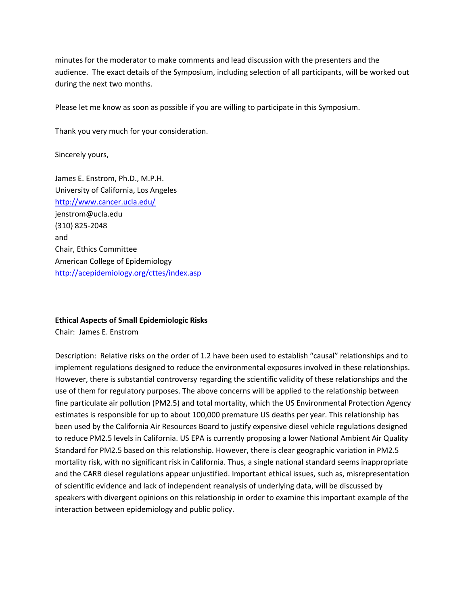minutes for the moderator to make comments and lead discussion with the presenters and the audience. The exact details of the Symposium, including selection of all participants, will be worked out during the next two months.

Please let me know as soon as possible if you are willing to participate in this Symposium.

Thank you very much for your consideration.

Sincerely yours,

James E. Enstrom, Ph.D., M.P.H. University of California, Los Angeles <http://www.cancer.ucla.edu/> jenstrom@ucla.edu (310) 825-2048 and Chair, Ethics Committee American College of Epidemiology <http://acepidemiology.org/cttes/index.asp>

#### **Ethical Aspects of Small Epidemiologic Risks**

Chair: James E. Enstrom

Description: Relative risks on the order of 1.2 have been used to establish "causal" relationships and to implement regulations designed to reduce the environmental exposures involved in these relationships. However, there is substantial controversy regarding the scientific validity of these relationships and the use of them for regulatory purposes. The above concerns will be applied to the relationship between fine particulate air pollution (PM2.5) and total mortality, which the US Environmental Protection Agency estimates is responsible for up to about 100,000 premature US deaths per year. This relationship has been used by the California Air Resources Board to justify expensive diesel vehicle regulations designed to reduce PM2.5 levels in California. US EPA is currently proposing a lower National Ambient Air Quality Standard for PM2.5 based on this relationship. However, there is clear geographic variation in PM2.5 mortality risk, with no significant risk in California. Thus, a single national standard seems inappropriate and the CARB diesel regulations appear unjustified. Important ethical issues, such as, misrepresentation of scientific evidence and lack of independent reanalysis of underlying data, will be discussed by speakers with divergent opinions on this relationship in order to examine this important example of the interaction between epidemiology and public policy.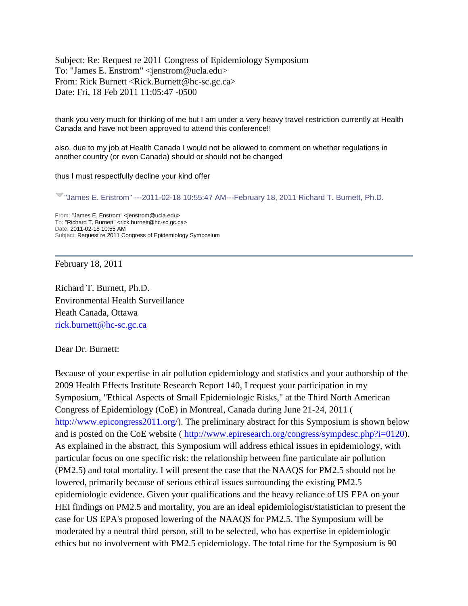Subject: Re: Request re 2011 Congress of Epidemiology Symposium To: "James E. Enstrom" <jenstrom@ucla.edu> From: Rick Burnett <Rick.Burnett@hc-sc.gc.ca> Date: Fri, 18 Feb 2011 11:05:47 -0500

thank you very much for thinking of me but I am under a very heavy travel restriction currently at Health Canada and have not been approved to attend this conference!!

also, due to my job at Health Canada I would not be allowed to comment on whether regulations in another country (or even Canada) should or should not be changed

thus I must respectfully decline your kind offer

"James E. Enstrom" ---2011-02-18 10:55:47 AM---February 18, 2011 Richard T. Burnett, Ph.D.

From: "James E. Enstrom" <jenstrom@ucla.edu> To: "Richard T. Burnett" <rick.burnett@hc-sc.gc.ca> Date: 2011-02-18 10:55 AM Subject: Request re 2011 Congress of Epidemiology Symposium

February 18, 2011

Richard T. Burnett, Ph.D. Environmental Health Surveillance Heath Canada, Ottawa [rick.burnett@hc-sc.gc.ca](mailto:rick.burnett@hc-sc.gc.ca)

Dear Dr. Burnett:

Because of your expertise in air pollution epidemiology and statistics and your authorship of the 2009 Health Effects Institute Research Report 140, I request your participation in my Symposium, "Ethical Aspects of Small Epidemiologic Risks," at the Third North American Congress of Epidemiology (CoE) in Montreal, Canada during June 21-24, 2011 [\(](http://www.epicongress2011.org/) [http://www.epicongress2011.org/\)](http://www.epicongress2011.org/). The preliminary abstract for this Symposium is shown below and is posted on the CoE website ( [http://www.epiresearch.org/congress/sympdesc.php?i=0120\)](http://www.epiresearch.org/congress/sympdesc.php?i=0120). As explained in the abstract, this Symposium will address ethical issues in epidemiology, with particular focus on one specific risk: the relationship between fine particulate air pollution (PM2.5) and total mortality. I will present the case that the NAAQS for PM2.5 should not be lowered, primarily because of serious ethical issues surrounding the existing PM2.5 epidemiologic evidence. Given your qualifications and the heavy reliance of US EPA on your HEI findings on PM2.5 and mortality, you are an ideal epidemiologist/statistician to present the case for US EPA's proposed lowering of the NAAQS for PM2.5. The Symposium will be moderated by a neutral third person, still to be selected, who has expertise in epidemiologic ethics but no involvement with PM2.5 epidemiology. The total time for the Symposium is 90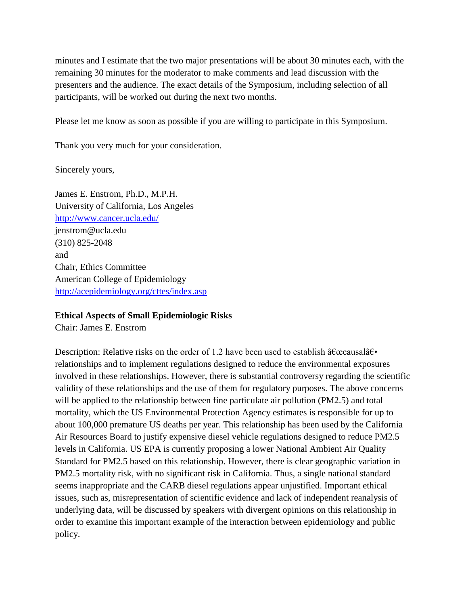minutes and I estimate that the two major presentations will be about 30 minutes each, with the remaining 30 minutes for the moderator to make comments and lead discussion with the presenters and the audience. The exact details of the Symposium, including selection of all participants, will be worked out during the next two months.

Please let me know as soon as possible if you are willing to participate in this Symposium.

Thank you very much for your consideration.

Sincerely yours,

James E. Enstrom, Ph.D., M.P.H. University of California, Los Angeles <http://www.cancer.ucla.edu/> jenstrom@ucla.edu (310) 825-2048 and Chair, Ethics Committee American College of Epidemiology <http://acepidemiology.org/cttes/index.asp>

## **Ethical Aspects of Small Epidemiologic Risks**

Chair: James E. Enstrom

Description: Relative risks on the order of 1.2 have been used to establish  $\hat{a} \in \alpha$  causal $\hat{a} \in \bullet$ relationships and to implement regulations designed to reduce the environmental exposures involved in these relationships. However, there is substantial controversy regarding the scientific validity of these relationships and the use of them for regulatory purposes. The above concerns will be applied to the relationship between fine particulate air pollution (PM2.5) and total mortality, which the US Environmental Protection Agency estimates is responsible for up to about 100,000 premature US deaths per year. This relationship has been used by the California Air Resources Board to justify expensive diesel vehicle regulations designed to reduce PM2.5 levels in California. US EPA is currently proposing a lower National Ambient Air Quality Standard for PM2.5 based on this relationship. However, there is clear geographic variation in PM2.5 mortality risk, with no significant risk in California. Thus, a single national standard seems inappropriate and the CARB diesel regulations appear unjustified. Important ethical issues, such as, misrepresentation of scientific evidence and lack of independent reanalysis of underlying data, will be discussed by speakers with divergent opinions on this relationship in order to examine this important example of the interaction between epidemiology and public policy.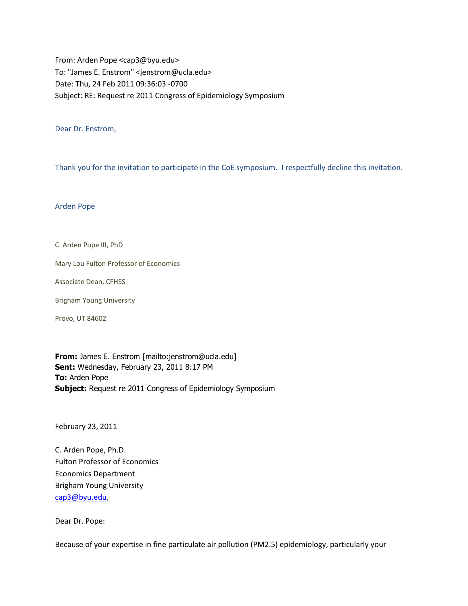From: Arden Pope <cap3@byu.edu> To: "James E. Enstrom" <jenstrom@ucla.edu> Date: Thu, 24 Feb 2011 09:36:03 -0700 Subject: RE: Request re 2011 Congress of Epidemiology Symposium

Dear Dr. Enstrom,

Thank you for the invitation to participate in the CoE symposium. I respectfully decline this invitation.

Arden Pope

C. Arden Pope III, PhD

Mary Lou Fulton Professor of Economics

Associate Dean, CFHSS

Brigham Young University

Provo, UT 84602

**From:** James E. Enstrom [mailto:jenstrom@ucla.edu] **Sent:** Wednesday, February 23, 2011 8:17 PM **To:** Arden Pope **Subject:** Request re 2011 Congress of Epidemiology Symposium

February 23, 2011

C. Arden Pope, Ph.D. Fulton Professor of Economics Economics Department Brigham Young University [cap3@byu.edu,](mailto:cap3@byu.edu)

Dear Dr. Pope:

Because of your expertise in fine particulate air pollution (PM2.5) epidemiology, particularly your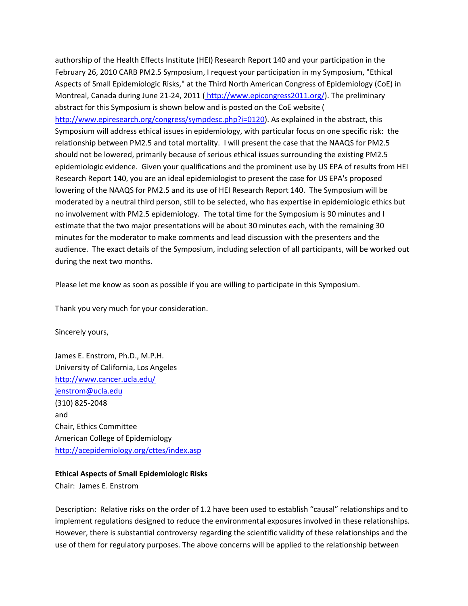authorship of the Health Effects Institute (HEI) Research Report 140 and your participation in the February 26, 2010 CARB PM2.5 Symposium, I request your participation in my Symposium, "Ethical Aspects of Small Epidemiologic Risks," at the Third North American Congress of Epidemiology (CoE) in Montreal, Canada during June 21-24, 2011 ([http://www.epicongress2011.org/\)](http://www.epicongress2011.org/). The preliminary abstract for this Symposium is shown below and is posted on the CoE website [\(](http://www.epiresearch.org/congress/sympdesc.php?i=0120) [http://www.epiresearch.org/congress/sympdesc.php?i=0120\)](http://www.epiresearch.org/congress/sympdesc.php?i=0120). As explained in the abstract, this Symposium will address ethical issues in epidemiology, with particular focus on one specific risk: the relationship between PM2.5 and total mortality. I will present the case that the NAAQS for PM2.5 should not be lowered, primarily because of serious ethical issues surrounding the existing PM2.5 epidemiologic evidence. Given your qualifications and the prominent use by US EPA of results from HEI Research Report 140, you are an ideal epidemiologist to present the case for US EPA's proposed lowering of the NAAQS for PM2.5 and its use of HEI Research Report 140. The Symposium will be moderated by a neutral third person, still to be selected, who has expertise in epidemiologic ethics but no involvement with PM2.5 epidemiology. The total time for the Symposium is 90 minutes and I estimate that the two major presentations will be about 30 minutes each, with the remaining 30 minutes for the moderator to make comments and lead discussion with the presenters and the audience. The exact details of the Symposium, including selection of all participants, will be worked out during the next two months.

Please let me know as soon as possible if you are willing to participate in this Symposium.

Thank you very much for your consideration.

Sincerely yours,

James E. Enstrom, Ph.D., M.P.H. University of California, Los Angeles <http://www.cancer.ucla.edu/> [jenstrom@ucla.edu](mailto:jenstrom@ucla.edu) (310) 825-2048 and Chair, Ethics Committee American College of Epidemiology <http://acepidemiology.org/cttes/index.asp>

#### **Ethical Aspects of Small Epidemiologic Risks**

Chair: James E. Enstrom

Description: Relative risks on the order of 1.2 have been used to establish "causal" relationships and to implement regulations designed to reduce the environmental exposures involved in these relationships. However, there is substantial controversy regarding the scientific validity of these relationships and the use of them for regulatory purposes. The above concerns will be applied to the relationship between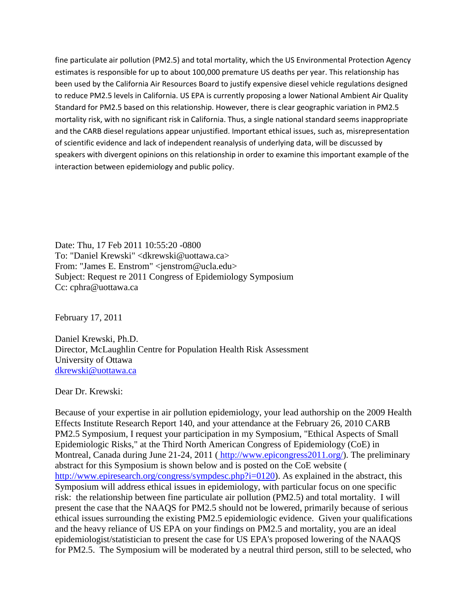fine particulate air pollution (PM2.5) and total mortality, which the US Environmental Protection Agency estimates is responsible for up to about 100,000 premature US deaths per year. This relationship has been used by the California Air Resources Board to justify expensive diesel vehicle regulations designed to reduce PM2.5 levels in California. US EPA is currently proposing a lower National Ambient Air Quality Standard for PM2.5 based on this relationship. However, there is clear geographic variation in PM2.5 mortality risk, with no significant risk in California. Thus, a single national standard seems inappropriate and the CARB diesel regulations appear unjustified. Important ethical issues, such as, misrepresentation of scientific evidence and lack of independent reanalysis of underlying data, will be discussed by speakers with divergent opinions on this relationship in order to examine this important example of the interaction between epidemiology and public policy.

Date: Thu, 17 Feb 2011 10:55:20 -0800 To: "Daniel Krewski" <dkrewski@uottawa.ca> From: "James E. Enstrom" <jenstrom@ucla.edu> Subject: Request re 2011 Congress of Epidemiology Symposium Cc: cphra@uottawa.ca

February 17, 2011

Daniel Krewski, Ph.D. Director, McLaughlin Centre for Population Health Risk Assessment University of Ottawa [dkrewski@uottawa.ca](mailto:dkrewski@uottawa.ca)

Dear Dr. Krewski:

Because of your expertise in air pollution epidemiology, your lead authorship on the 2009 Health Effects Institute Research Report 140, and your attendance at the February 26, 2010 CARB PM2.5 Symposium, I request your participation in my Symposium, "Ethical Aspects of Small Epidemiologic Risks," at the Third North American Congress of Epidemiology (CoE) in Montreal, Canada during June 21-24, 2011 ([http://www.epicongress2011.org/\)](http://www.epicongress2011.org/). The preliminary abstract for this Symposium is shown below and is posted on the CoE website [\(](http://www.epiresearch.org/congress/sympdesc.php?i=0120) [http://www.epiresearch.org/congress/sympdesc.php?i=0120\)](http://www.epiresearch.org/congress/sympdesc.php?i=0120). As explained in the abstract, this Symposium will address ethical issues in epidemiology, with particular focus on one specific risk: the relationship between fine particulate air pollution (PM2.5) and total mortality. I will present the case that the NAAQS for PM2.5 should not be lowered, primarily because of serious ethical issues surrounding the existing PM2.5 epidemiologic evidence. Given your qualifications and the heavy reliance of US EPA on your findings on PM2.5 and mortality, you are an ideal epidemiologist/statistician to present the case for US EPA's proposed lowering of the NAAQS for PM2.5. The Symposium will be moderated by a neutral third person, still to be selected, who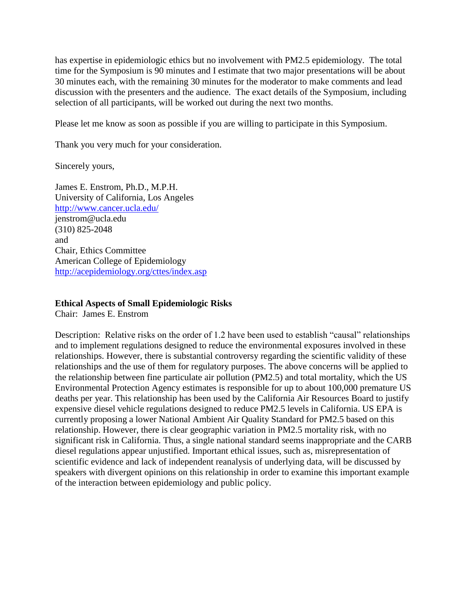has expertise in epidemiologic ethics but no involvement with PM2.5 epidemiology. The total time for the Symposium is 90 minutes and I estimate that two major presentations will be about 30 minutes each, with the remaining 30 minutes for the moderator to make comments and lead discussion with the presenters and the audience. The exact details of the Symposium, including selection of all participants, will be worked out during the next two months.

Please let me know as soon as possible if you are willing to participate in this Symposium.

Thank you very much for your consideration.

Sincerely yours,

James E. Enstrom, Ph.D., M.P.H. University of California, Los Angeles <http://www.cancer.ucla.edu/> jenstrom@ucla.edu (310) 825-2048 and Chair, Ethics Committee American College of Epidemiology <http://acepidemiology.org/cttes/index.asp>

### **Ethical Aspects of Small Epidemiologic Risks**

Chair: James E. Enstrom

Description: Relative risks on the order of 1.2 have been used to establish "causal" relationships and to implement regulations designed to reduce the environmental exposures involved in these relationships. However, there is substantial controversy regarding the scientific validity of these relationships and the use of them for regulatory purposes. The above concerns will be applied to the relationship between fine particulate air pollution (PM2.5) and total mortality, which the US Environmental Protection Agency estimates is responsible for up to about 100,000 premature US deaths per year. This relationship has been used by the California Air Resources Board to justify expensive diesel vehicle regulations designed to reduce PM2.5 levels in California. US EPA is currently proposing a lower National Ambient Air Quality Standard for PM2.5 based on this relationship. However, there is clear geographic variation in PM2.5 mortality risk, with no significant risk in California. Thus, a single national standard seems inappropriate and the CARB diesel regulations appear unjustified. Important ethical issues, such as, misrepresentation of scientific evidence and lack of independent reanalysis of underlying data, will be discussed by speakers with divergent opinions on this relationship in order to examine this important example of the interaction between epidemiology and public policy.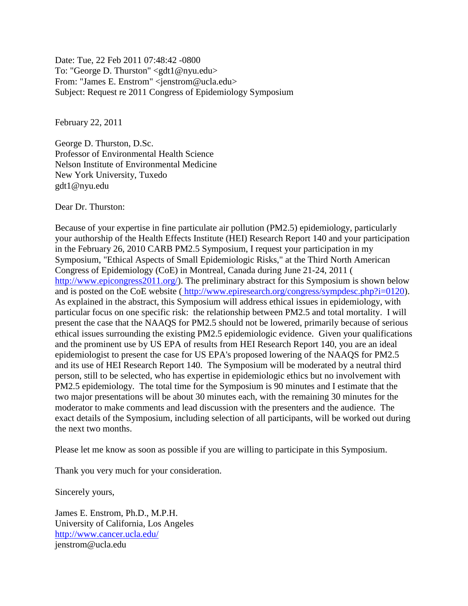Date: Tue, 22 Feb 2011 07:48:42 -0800 To: "George D. Thurston" <gdt1@nyu.edu> From: "James E. Enstrom" <jenstrom@ucla.edu> Subject: Request re 2011 Congress of Epidemiology Symposium

February 22, 2011

George D. Thurston, D.Sc. Professor of Environmental Health Science Nelson Institute of Environmental Medicine New York University, Tuxedo gdt1@nyu.edu

Dear Dr. Thurston:

Because of your expertise in fine particulate air pollution (PM2.5) epidemiology, particularly your authorship of the Health Effects Institute (HEI) Research Report 140 and your participation in the February 26, 2010 CARB PM2.5 Symposium, I request your participation in my Symposium, "Ethical Aspects of Small Epidemiologic Risks," at the Third North American Congress of Epidemiology (CoE) in Montreal, Canada during June 21-24, 2011 [\(](http://www.epicongress2011.org/) [http://www.epicongress2011.org/\)](http://www.epicongress2011.org/). The preliminary abstract for this Symposium is shown below and is posted on the CoE website ( [http://www.epiresearch.org/congress/sympdesc.php?i=0120\)](http://www.epiresearch.org/congress/sympdesc.php?i=0120). As explained in the abstract, this Symposium will address ethical issues in epidemiology, with particular focus on one specific risk: the relationship between PM2.5 and total mortality. I will present the case that the NAAQS for PM2.5 should not be lowered, primarily because of serious ethical issues surrounding the existing PM2.5 epidemiologic evidence. Given your qualifications and the prominent use by US EPA of results from HEI Research Report 140, you are an ideal epidemiologist to present the case for US EPA's proposed lowering of the NAAQS for PM2.5 and its use of HEI Research Report 140. The Symposium will be moderated by a neutral third person, still to be selected, who has expertise in epidemiologic ethics but no involvement with PM2.5 epidemiology. The total time for the Symposium is 90 minutes and I estimate that the two major presentations will be about 30 minutes each, with the remaining 30 minutes for the moderator to make comments and lead discussion with the presenters and the audience. The exact details of the Symposium, including selection of all participants, will be worked out during the next two months.

Please let me know as soon as possible if you are willing to participate in this Symposium.

Thank you very much for your consideration.

Sincerely yours,

James E. Enstrom, Ph.D., M.P.H. University of California, Los Angeles <http://www.cancer.ucla.edu/> jenstrom@ucla.edu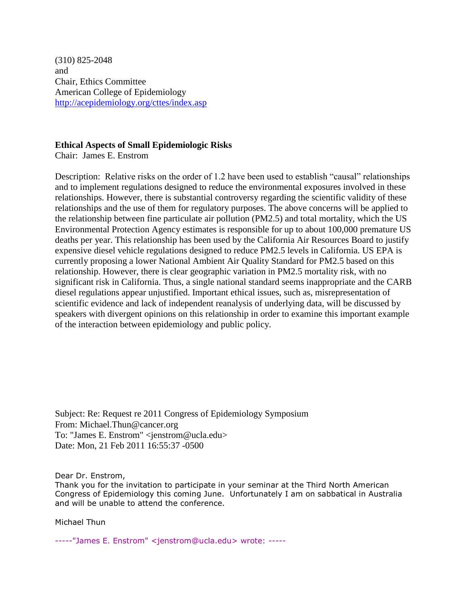(310) 825-2048 and Chair, Ethics Committee American College of Epidemiology <http://acepidemiology.org/cttes/index.asp>

## **Ethical Aspects of Small Epidemiologic Risks**

Chair: James E. Enstrom

Description: Relative risks on the order of 1.2 have been used to establish "causal" relationships and to implement regulations designed to reduce the environmental exposures involved in these relationships. However, there is substantial controversy regarding the scientific validity of these relationships and the use of them for regulatory purposes. The above concerns will be applied to the relationship between fine particulate air pollution (PM2.5) and total mortality, which the US Environmental Protection Agency estimates is responsible for up to about 100,000 premature US deaths per year. This relationship has been used by the California Air Resources Board to justify expensive diesel vehicle regulations designed to reduce PM2.5 levels in California. US EPA is currently proposing a lower National Ambient Air Quality Standard for PM2.5 based on this relationship. However, there is clear geographic variation in PM2.5 mortality risk, with no significant risk in California. Thus, a single national standard seems inappropriate and the CARB diesel regulations appear unjustified. Important ethical issues, such as, misrepresentation of scientific evidence and lack of independent reanalysis of underlying data, will be discussed by speakers with divergent opinions on this relationship in order to examine this important example of the interaction between epidemiology and public policy.

Subject: Re: Request re 2011 Congress of Epidemiology Symposium From: Michael.Thun@cancer.org To: "James E. Enstrom" <jenstrom@ucla.edu> Date: Mon, 21 Feb 2011 16:55:37 -0500

Dear Dr. Enstrom,

Thank you for the invitation to participate in your seminar at the Third North American Congress of Epidemiology this coming June. Unfortunately I am on sabbatical in Australia and will be unable to attend the conference.

Michael Thun

-----"James E. Enstrom" <jenstrom@ucla.edu> wrote: -----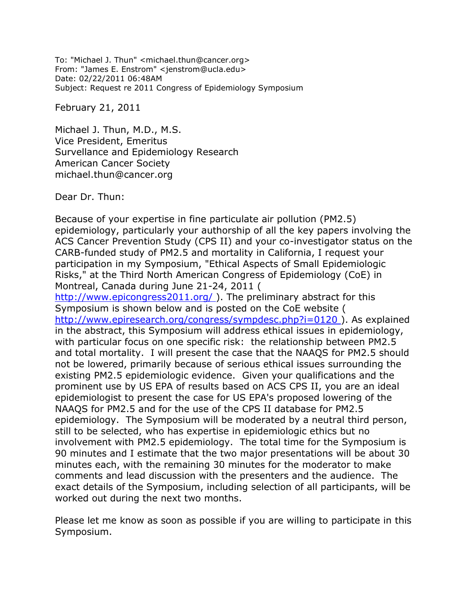To: "Michael J. Thun" <michael.thun@cancer.org> From: "James E. Enstrom" <jenstrom@ucla.edu> Date: 02/22/2011 06:48AM Subject: Request re 2011 Congress of Epidemiology Symposium

February 21, 2011

Michael J. Thun, M.D., M.S. Vice President, Emeritus Survellance and Epidemiology Research American Cancer Society michael.thun@cancer.org

Dear Dr. Thun:

Because of your expertise in fine particulate air pollution (PM2.5) epidemiology, particularly your authorship of all the key papers involving the ACS Cancer Prevention Study (CPS II) and your co-investigator status on the CARB-funded study of PM2.5 and mortality in California, I request your participation in my Symposium, "Ethical Aspects of Small Epidemiologic Risks," at the Third North American Congress of Epidemiology (CoE) in Montreal, Canada during June 21-24, 2011 ( http://www.epicongress2011.org/). The preliminary abstract for this Symposium is shown below and is posted on the CoE website ( [http://www.epiresearch.org/congress/sympdesc.php?i=0120 \)](http://www.epiresearch.org/congress/sympdesc.php?i=0120). As explained in the abstract, this Symposium will address ethical issues in epidemiology, with particular focus on one specific risk: the relationship between PM2.5 and total mortality. I will present the case that the NAAQS for PM2.5 should not be lowered, primarily because of serious ethical issues surrounding the existing PM2.5 epidemiologic evidence. Given your qualifications and the prominent use by US EPA of results based on ACS CPS II, you are an ideal epidemiologist to present the case for US EPA's proposed lowering of the NAAQS for PM2.5 and for the use of the CPS II database for PM2.5 epidemiology. The Symposium will be moderated by a neutral third person, still to be selected, who has expertise in epidemiologic ethics but no involvement with PM2.5 epidemiology. The total time for the Symposium is 90 minutes and I estimate that the two major presentations will be about 30 minutes each, with the remaining 30 minutes for the moderator to make comments and lead discussion with the presenters and the audience. The exact details of the Symposium, including selection of all participants, will be worked out during the next two months.

Please let me know as soon as possible if you are willing to participate in this Symposium.